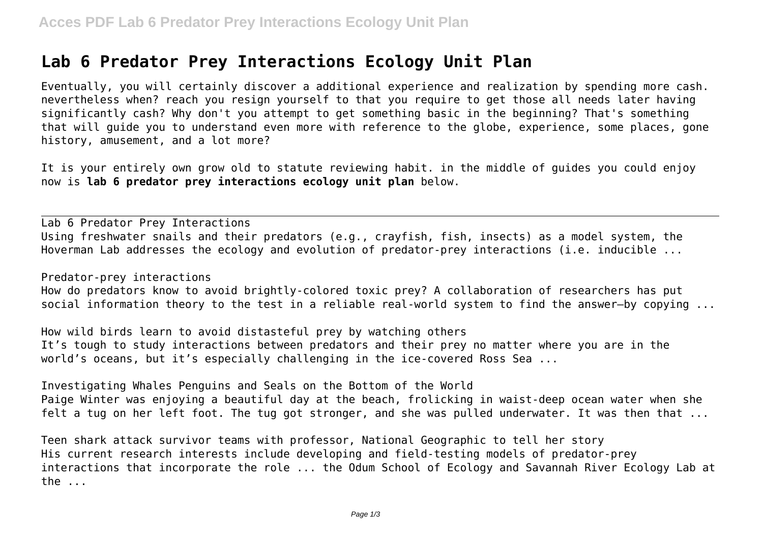## **Lab 6 Predator Prey Interactions Ecology Unit Plan**

Eventually, you will certainly discover a additional experience and realization by spending more cash. nevertheless when? reach you resign yourself to that you require to get those all needs later having significantly cash? Why don't you attempt to get something basic in the beginning? That's something that will guide you to understand even more with reference to the globe, experience, some places, gone history, amusement, and a lot more?

It is your entirely own grow old to statute reviewing habit. in the middle of guides you could enjoy now is **lab 6 predator prey interactions ecology unit plan** below.

Lab 6 Predator Prey Interactions Using freshwater snails and their predators (e.g., crayfish, fish, insects) as a model system, the Hoverman Lab addresses the ecology and evolution of predator-prey interactions (i.e. inducible ...

Predator-prey interactions

How do predators know to avoid brightly-colored toxic prey? A collaboration of researchers has put social information theory to the test in a reliable real-world system to find the answer—by copying ...

How wild birds learn to avoid distasteful prey by watching others It's tough to study interactions between predators and their prey no matter where you are in the world's oceans, but it's especially challenging in the ice-covered Ross Sea ...

Investigating Whales Penguins and Seals on the Bottom of the World Paige Winter was enjoying a beautiful day at the beach, frolicking in waist-deep ocean water when she felt a tug on her left foot. The tug got stronger, and she was pulled underwater. It was then that ...

Teen shark attack survivor teams with professor, National Geographic to tell her story His current research interests include developing and field-testing models of predator-prey interactions that incorporate the role ... the Odum School of Ecology and Savannah River Ecology Lab at the ...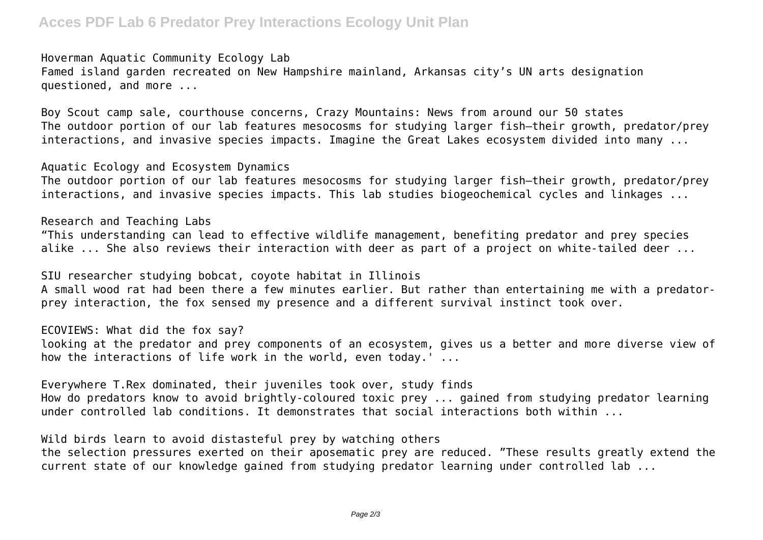## **Acces PDF Lab 6 Predator Prey Interactions Ecology Unit Plan**

Hoverman Aquatic Community Ecology Lab Famed island garden recreated on New Hampshire mainland, Arkansas city's UN arts designation questioned, and more ...

Boy Scout camp sale, courthouse concerns, Crazy Mountains: News from around our 50 states The outdoor portion of our lab features mesocosms for studying larger fish—their growth, predator/prey interactions, and invasive species impacts. Imagine the Great Lakes ecosystem divided into many ...

Aquatic Ecology and Ecosystem Dynamics The outdoor portion of our lab features mesocosms for studying larger fish—their growth, predator/prey interactions, and invasive species impacts. This lab studies biogeochemical cycles and linkages ...

Research and Teaching Labs "This understanding can lead to effective wildlife management, benefiting predator and prey species alike ... She also reviews their interaction with deer as part of a project on white-tailed deer ...

SIU researcher studying bobcat, coyote habitat in Illinois A small wood rat had been there a few minutes earlier. But rather than entertaining me with a predatorprey interaction, the fox sensed my presence and a different survival instinct took over.

ECOVIEWS: What did the fox say?

looking at the predator and prey components of an ecosystem, gives us a better and more diverse view of how the interactions of life work in the world, even today.' ...

Everywhere T.Rex dominated, their juveniles took over, study finds How do predators know to avoid brightly-coloured toxic prey ... gained from studying predator learning under controlled lab conditions. It demonstrates that social interactions both within ...

Wild birds learn to avoid distasteful prey by watching others

the selection pressures exerted on their aposematic prey are reduced. "These results greatly extend the current state of our knowledge gained from studying predator learning under controlled lab ...